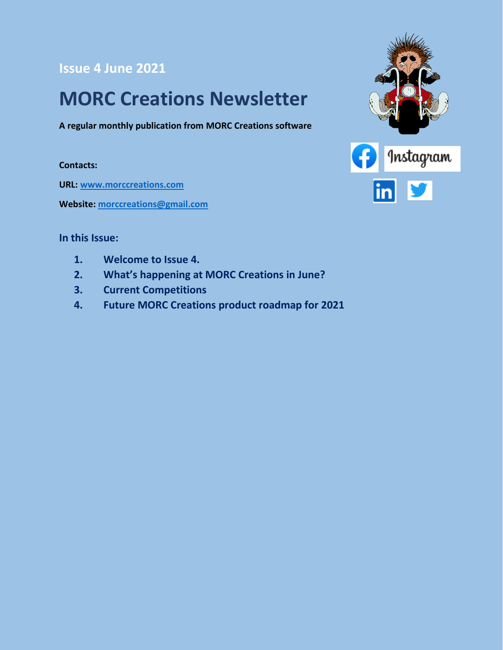#### **Issue 4 June 2021**

### **MORC Creations Newsletter**

**A regular monthly publication from MORC Creations software**

**Contacts:**

**URL: [www.morccreations.com](http://www.morccreations.com/)**

**Website: [morccreations@gmail.com](mailto:morccreations@gmail.com)**



#### **In this Issue:**

- **1. Welcome to Issue 4.**
- **2. What's happening at MORC Creations in June?**
- **3. Current Competitions**
- **4. Future MORC Creations product roadmap for 2021**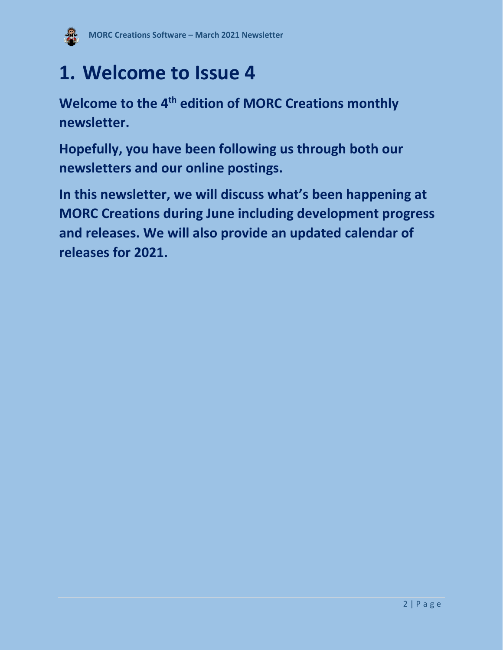

### **1. Welcome to Issue 4**

**Welcome to the 4 th edition of MORC Creations monthly newsletter.**

**Hopefully, you have been following us through both our newsletters and our online postings.** 

**In this newsletter, we will discuss what's been happening at MORC Creations during June including development progress and releases. We will also provide an updated calendar of releases for 2021.**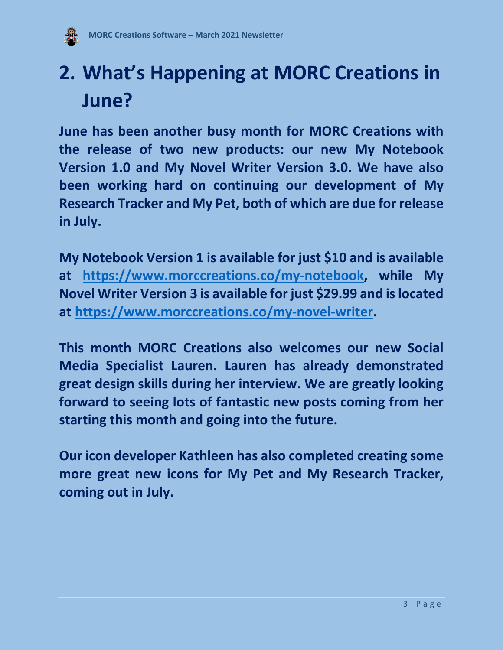

# **2. What's Happening at MORC Creations in June?**

**June has been another busy month for MORC Creations with the release of two new products: our new My Notebook Version 1.0 and My Novel Writer Version 3.0. We have also been working hard on continuing our development of My Research Tracker and My Pet, both of which are due for release in July.**

**My Notebook Version 1 is available for just \$10 and is available at [https://www.morccreations.co/my-notebook,](https://www.morccreations.co/my-notebook) while My Novel Writer Version 3 is available for just \$29.99 and is located at [https://www.morccreations.co/my-novel-writer.](https://www.morccreations.co/my-novel-writer)**

**This month MORC Creations also welcomes our new Social Media Specialist Lauren. Lauren has already demonstrated great design skills during her interview. We are greatly looking forward to seeing lots of fantastic new posts coming from her starting this month and going into the future.**

**Our icon developer Kathleen has also completed creating some more great new icons for My Pet and My Research Tracker, coming out in July.**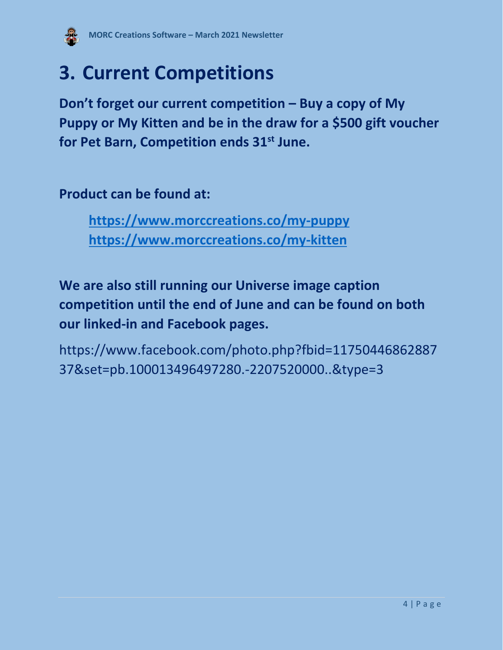

## **3. Current Competitions**

**Don't forget our current competition – Buy a copy of My Puppy or My Kitten and be in the draw for a \$500 gift voucher for Pet Barn, Competition ends 31 st June.** 

**Product can be found at:**

**<https://www.morccreations.co/my-puppy> <https://www.morccreations.co/my-kitten>**

**We are also still running our Universe image caption competition until the end of June and can be found on both our linked-in and Facebook pages.**

[https://www.facebook.com/photo.php?fbid=11750446862887](https://www.facebook.com/photo.php?fbid=1175044686288737&set=pb.100013496497280.-2207520000..&type=3) [37&set=pb.100013496497280.-2207520000..&type=3](https://www.facebook.com/photo.php?fbid=1175044686288737&set=pb.100013496497280.-2207520000..&type=3)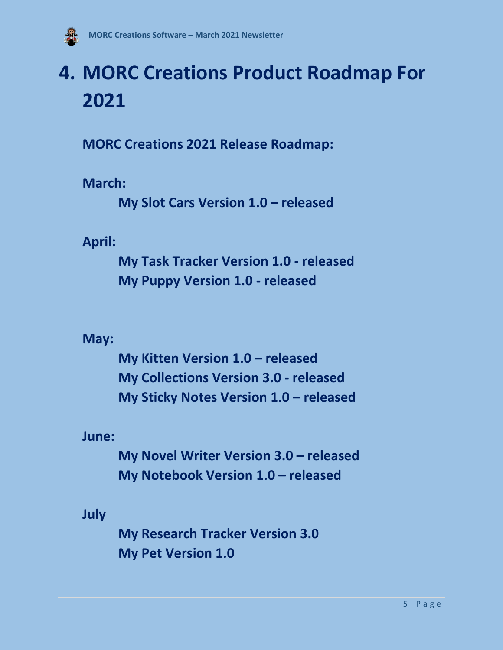

## **4. MORC Creations Product Roadmap For 2021**

**MORC Creations 2021 Release Roadmap:**

**March:**

**My Slot Cars Version 1.0 – released**

**April:**

**My Task Tracker Version 1.0 - released My Puppy Version 1.0 - released**

**May:**

**My Kitten Version 1.0 – released My Collections Version 3.0 - released My Sticky Notes Version 1.0 – released**

**June:**

**My Novel Writer Version 3.0 – released My Notebook Version 1.0 – released**

**July**

**My Research Tracker Version 3.0 My Pet Version 1.0**